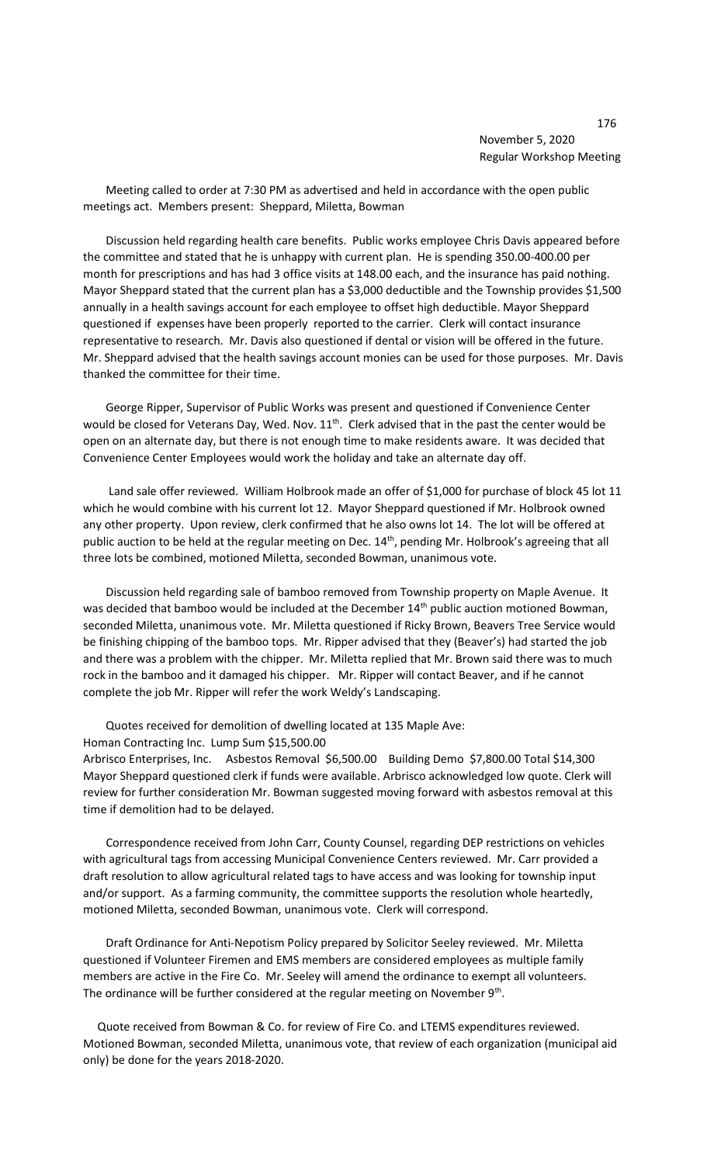Meeting called to order at 7:30 PM as advertised and held in accordance with the open public meetings act. Members present: Sheppard, Miletta, Bowman

 Discussion held regarding health care benefits. Public works employee Chris Davis appeared before the committee and stated that he is unhappy with current plan. He is spending 350.00-400.00 per month for prescriptions and has had 3 office visits at 148.00 each, and the insurance has paid nothing. Mayor Sheppard stated that the current plan has a \$3,000 deductible and the Township provides \$1,500 annually in a health savings account for each employee to offset high deductible. Mayor Sheppard questioned if expenses have been properly reported to the carrier. Clerk will contact insurance representative to research. Mr. Davis also questioned if dental or vision will be offered in the future. Mr. Sheppard advised that the health savings account monies can be used for those purposes. Mr. Davis thanked the committee for their time.

 George Ripper, Supervisor of Public Works was present and questioned if Convenience Center would be closed for Veterans Day, Wed. Nov. 11<sup>th</sup>. Clerk advised that in the past the center would be open on an alternate day, but there is not enough time to make residents aware. It was decided that Convenience Center Employees would work the holiday and take an alternate day off.

 Land sale offer reviewed. William Holbrook made an offer of \$1,000 for purchase of block 45 lot 11 which he would combine with his current lot 12. Mayor Sheppard questioned if Mr. Holbrook owned any other property. Upon review, clerk confirmed that he also owns lot 14. The lot will be offered at public auction to be held at the regular meeting on Dec. 14<sup>th</sup>, pending Mr. Holbrook's agreeing that all three lots be combined, motioned Miletta, seconded Bowman, unanimous vote.

 Discussion held regarding sale of bamboo removed from Township property on Maple Avenue. It was decided that bamboo would be included at the December 14<sup>th</sup> public auction motioned Bowman, seconded Miletta, unanimous vote. Mr. Miletta questioned if Ricky Brown, Beavers Tree Service would be finishing chipping of the bamboo tops. Mr. Ripper advised that they (Beaver's) had started the job and there was a problem with the chipper. Mr. Miletta replied that Mr. Brown said there was to much rock in the bamboo and it damaged his chipper. Mr. Ripper will contact Beaver, and if he cannot complete the job Mr. Ripper will refer the work Weldy's Landscaping.

Quotes received for demolition of dwelling located at 135 Maple Ave:

Homan Contracting Inc. Lump Sum \$15,500.00

Arbrisco Enterprises, Inc. Asbestos Removal \$6,500.00 Building Demo \$7,800.00 Total \$14,300 Mayor Sheppard questioned clerk if funds were available. Arbrisco acknowledged low quote. Clerk will review for further consideration Mr. Bowman suggested moving forward with asbestos removal at this time if demolition had to be delayed.

 Correspondence received from John Carr, County Counsel, regarding DEP restrictions on vehicles with agricultural tags from accessing Municipal Convenience Centers reviewed. Mr. Carr provided a draft resolution to allow agricultural related tags to have access and was looking for township input and/or support. As a farming community, the committee supports the resolution whole heartedly, motioned Miletta, seconded Bowman, unanimous vote. Clerk will correspond.

 Draft Ordinance for Anti-Nepotism Policy prepared by Solicitor Seeley reviewed. Mr. Miletta questioned if Volunteer Firemen and EMS members are considered employees as multiple family members are active in the Fire Co. Mr. Seeley will amend the ordinance to exempt all volunteers. The ordinance will be further considered at the regular meeting on November  $9<sup>th</sup>$ .

 Quote received from Bowman & Co. for review of Fire Co. and LTEMS expenditures reviewed. Motioned Bowman, seconded Miletta, unanimous vote, that review of each organization (municipal aid only) be done for the years 2018-2020.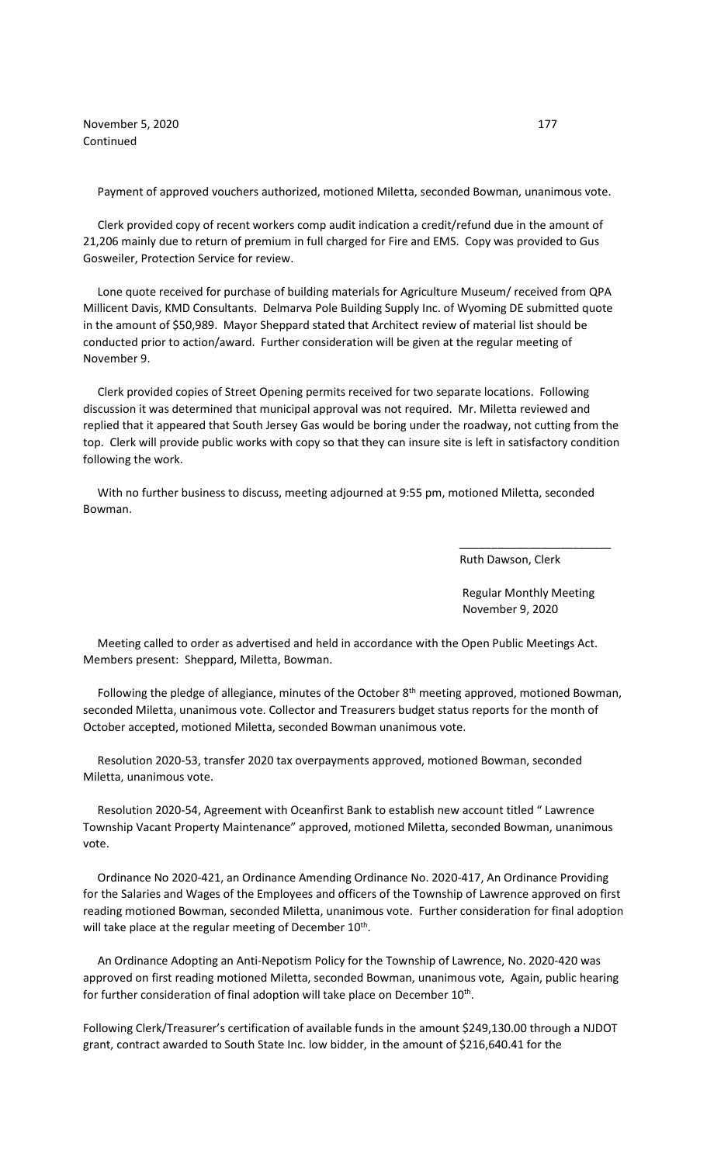November 5, 2020 177 Continued

Payment of approved vouchers authorized, motioned Miletta, seconded Bowman, unanimous vote.

 Clerk provided copy of recent workers comp audit indication a credit/refund due in the amount of 21,206 mainly due to return of premium in full charged for Fire and EMS. Copy was provided to Gus Gosweiler, Protection Service for review.

 Lone quote received for purchase of building materials for Agriculture Museum/ received from QPA Millicent Davis, KMD Consultants. Delmarva Pole Building Supply Inc. of Wyoming DE submitted quote in the amount of \$50,989. Mayor Sheppard stated that Architect review of material list should be conducted prior to action/award. Further consideration will be given at the regular meeting of November 9.

 Clerk provided copies of Street Opening permits received for two separate locations. Following discussion it was determined that municipal approval was not required. Mr. Miletta reviewed and replied that it appeared that South Jersey Gas would be boring under the roadway, not cutting from the top. Clerk will provide public works with copy so that they can insure site is left in satisfactory condition following the work.

 With no further business to discuss, meeting adjourned at 9:55 pm, motioned Miletta, seconded Bowman.

 $\overline{\phantom{a}}$  , and the contract of the contract of the contract of the contract of the contract of the contract of the contract of the contract of the contract of the contract of the contract of the contract of the contrac

Ruth Dawson, Clerk

 Regular Monthly Meeting November 9, 2020

 Meeting called to order as advertised and held in accordance with the Open Public Meetings Act. Members present: Sheppard, Miletta, Bowman.

Following the pledge of allegiance, minutes of the October 8<sup>th</sup> meeting approved, motioned Bowman, seconded Miletta, unanimous vote. Collector and Treasurers budget status reports for the month of October accepted, motioned Miletta, seconded Bowman unanimous vote.

 Resolution 2020-53, transfer 2020 tax overpayments approved, motioned Bowman, seconded Miletta, unanimous vote.

 Resolution 2020-54, Agreement with Oceanfirst Bank to establish new account titled " Lawrence Township Vacant Property Maintenance" approved, motioned Miletta, seconded Bowman, unanimous vote.

 Ordinance No 2020-421, an Ordinance Amending Ordinance No. 2020-417, An Ordinance Providing for the Salaries and Wages of the Employees and officers of the Township of Lawrence approved on first reading motioned Bowman, seconded Miletta, unanimous vote. Further consideration for final adoption will take place at the regular meeting of December 10<sup>th</sup>.

 An Ordinance Adopting an Anti-Nepotism Policy for the Township of Lawrence, No. 2020-420 was approved on first reading motioned Miletta, seconded Bowman, unanimous vote, Again, public hearing for further consideration of final adoption will take place on December 10<sup>th</sup>.

Following Clerk/Treasurer's certification of available funds in the amount \$249,130.00 through a NJDOT grant, contract awarded to South State Inc. low bidder, in the amount of \$216,640.41 for the